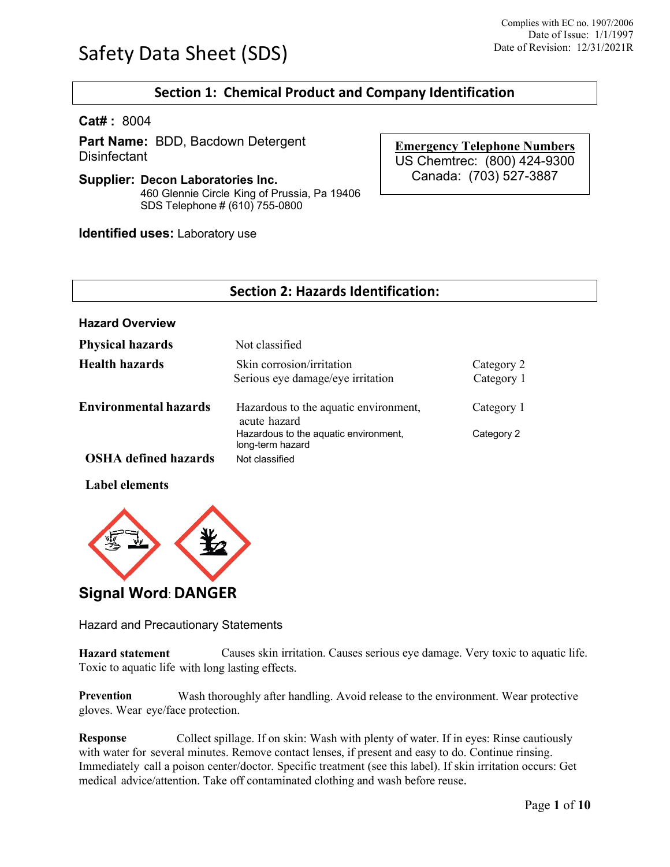# **Section 1: Chemical Product and Company Identification**

**Cat# :** 8004

**Part Name:** BDD, Bacdown Detergent **Disinfectant** 

**Supplier: Decon Laboratories Inc.** 460 Glennie Circle King of Prussia, Pa 19406 SDS Telephone # (610) 755-0800

**Identified uses:** Laboratory use

**Emergency Telephone Numbers** US Chemtrec: (800) 424-9300 Canada: (703) 527-3887

| <b>Section 2: Hazards Identification:</b> |                                                                |                          |  |  |
|-------------------------------------------|----------------------------------------------------------------|--------------------------|--|--|
| <b>Hazard Overview</b>                    |                                                                |                          |  |  |
| <b>Physical hazards</b>                   | Not classified                                                 |                          |  |  |
| Health hazards                            | Skin corrosion/irritation<br>Serious eye damage/eye irritation | Category 2<br>Category 1 |  |  |
| <b>Environmental hazards</b>              | Hazardous to the aquatic environment,<br>acute hazard          | Category 1               |  |  |
|                                           | Hazardous to the aquatic environment,<br>long-term hazard      | Category 2               |  |  |
| <b>OSHA</b> defined hazards               | Not classified                                                 |                          |  |  |

**Label elements**



# **Signal Word**:**DANGER**

Hazard and Precautionary Statements

**Hazard statement** Causes skin irritation. Causes serious eye damage. Very toxic to aquatic life. Toxic to aquatic life with long lasting effects.

**Prevention** Wash thoroughly after handling. Avoid release to the environment. Wear protective gloves. Wear eye/face protection.

**Response** Collect spillage. If on skin: Wash with plenty of water. If in eyes: Rinse cautiously with water for several minutes. Remove contact lenses, if present and easy to do. Continue rinsing. Immediately call a poison center/doctor. Specific treatment (see this label). If skin irritation occurs: Get medical advice/attention. Take off contaminated clothing and wash before reuse.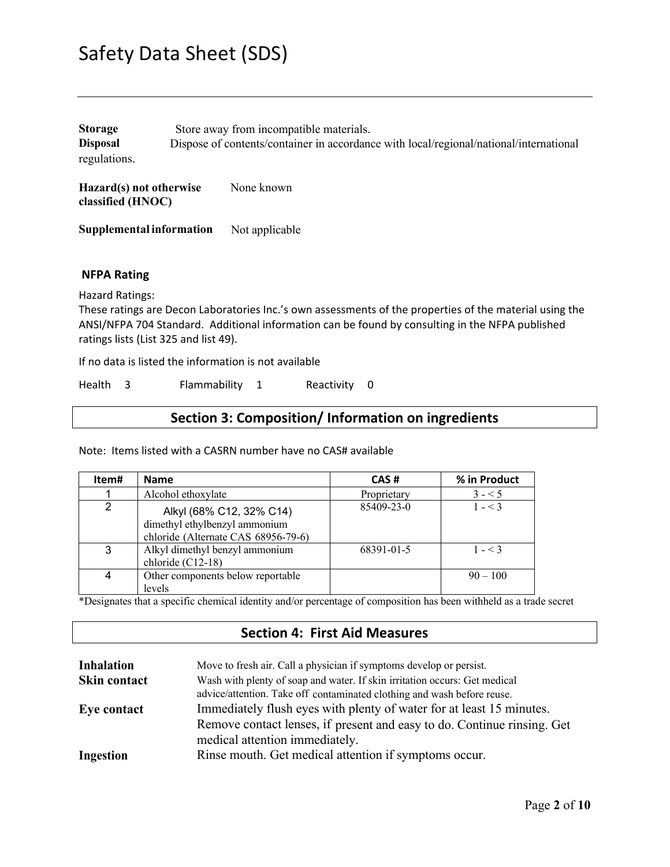| <b>Storage</b>  | Store away from incompatible materials.                                                |
|-----------------|----------------------------------------------------------------------------------------|
| <b>Disposal</b> | Dispose of contents/container in accordance with local/regional/national/international |
| regulations.    |                                                                                        |

**Hazard(s) not otherwise** None known **classified (HNOC)**

**Supplemental information** Not applicable

### **NFPA Rating**

Hazard Ratings:

These ratings are Decon Laboratories Inc.'s own assessments of the properties of the material using the ANSI/NFPA 704 Standard. Additional information can be found by consulting in the NFPA published ratings lists (List 325 and list 49).

If no data is listed the information is not available

Health 3 Flammability 1 Reactivity 0

## **Section 3: Composition/ Information on ingredients**

Note: Items listed with a CASRN number have no CAS# available

| Item# | <b>Name</b>                                                                                      | CAS#        | % in Product |
|-------|--------------------------------------------------------------------------------------------------|-------------|--------------|
|       | Alcohol ethoxylate                                                                               | Proprietary | $3 - 5$      |
| 2     | Alkyl (68% C12, 32% C14)<br>dimethyl ethylbenzyl ammonium<br>chloride (Alternate CAS 68956-79-6) | 85409-23-0  | $1 - 3$      |
| 3     | Alkyl dimethyl benzyl ammonium<br>chloride (C12-18)                                              | 68391-01-5  | $1 - 3$      |
| 4     | Other components below reportable<br>levels                                                      |             | $90 - 100$   |

\*Designates that a specific chemical identity and/or percentage of composition has been withheld as a trade secret

## **Section 4: First Aid Measures**

| <b>Inhalation</b> | Move to fresh air. Call a physician if symptoms develop or persist.        |
|-------------------|----------------------------------------------------------------------------|
| Skin contact      | Wash with plenty of soap and water. If skin irritation occurs: Get medical |
|                   | advice/attention. Take off contaminated clothing and wash before reuse.    |
| Eye contact       | Immediately flush eyes with plenty of water for at least 15 minutes.       |
|                   | Remove contact lenses, if present and easy to do. Continue rinsing. Get    |
|                   | medical attention immediately.                                             |
| <b>Ingestion</b>  | Rinse mouth. Get medical attention if symptoms occur.                      |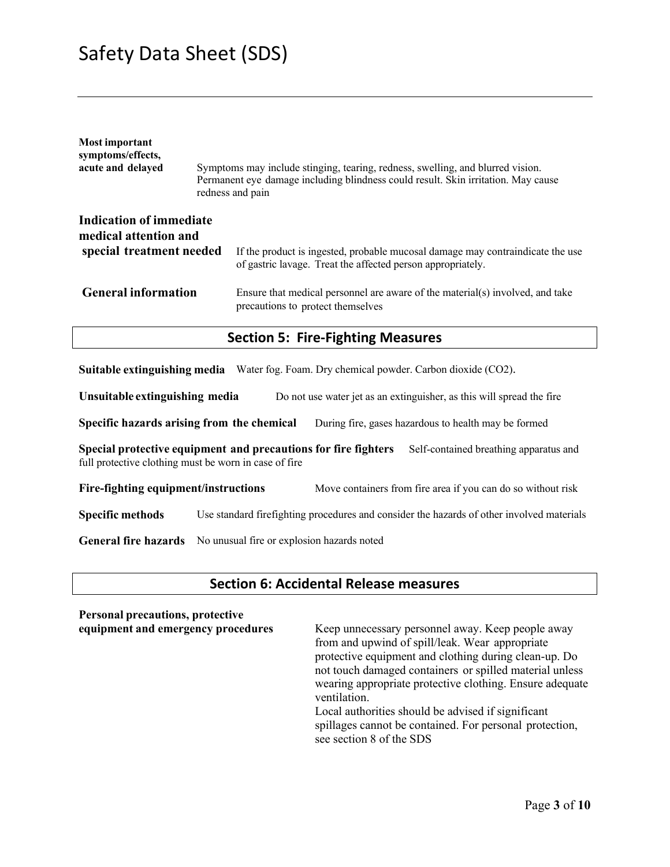| Most important<br>symptoms/effects,<br>acute and delayed                     | Symptoms may include stinging, tearing, redness, swelling, and blurred vision.<br>Permanent eye damage including blindness could result. Skin irritation. May cause<br>redness and pain |
|------------------------------------------------------------------------------|-----------------------------------------------------------------------------------------------------------------------------------------------------------------------------------------|
| Indication of immediate<br>medical attention and<br>special treatment needed | If the product is ingested, probable mucosal damage may contraindicate the use                                                                                                          |
| <b>General information</b>                                                   | of gastric lavage. Treat the affected person appropriately.<br>Ensure that medical personnel are aware of the material(s) involved, and take<br>precautions to protect themselves       |
|                                                                              | <b>Section 5: Fire-Fighting Measures</b>                                                                                                                                                |

**Suitable extinguishing media** Water fog. Foam. Dry chemical powder. Carbon dioxide (CO2).

**Unsuitable extinguishing media** Do not use water jet as an extinguisher, as this will spread the fire

**Specific hazards arising from the chemical** During fire, gases hazardous to health may be formed

**Special protective equipment and precautions for fire fighters** Self-contained breathing apparatus and full protective clothing must be worn in case of fire

**Fire-fighting equipment/instructions** Move containers from fire area if you can do so without risk

**Specific methods** Use standard firefighting procedures and consider the hazards of other involved materials

**General fire hazards** No unusual fire or explosion hazards noted

### **Section 6: Accidental Release measures**

# **Personal precautions, protective**

Keep unnecessary personnel away. Keep people away from and upwind of spill/leak. Wear appropriate protective equipment and clothing during clean-up. Do not touch damaged containers or spilled material unless wearing appropriate protective clothing. Ensure adequate ventilation.

Local authorities should be advised if significant spillages cannot be contained. For personal protection, see section 8 of the SDS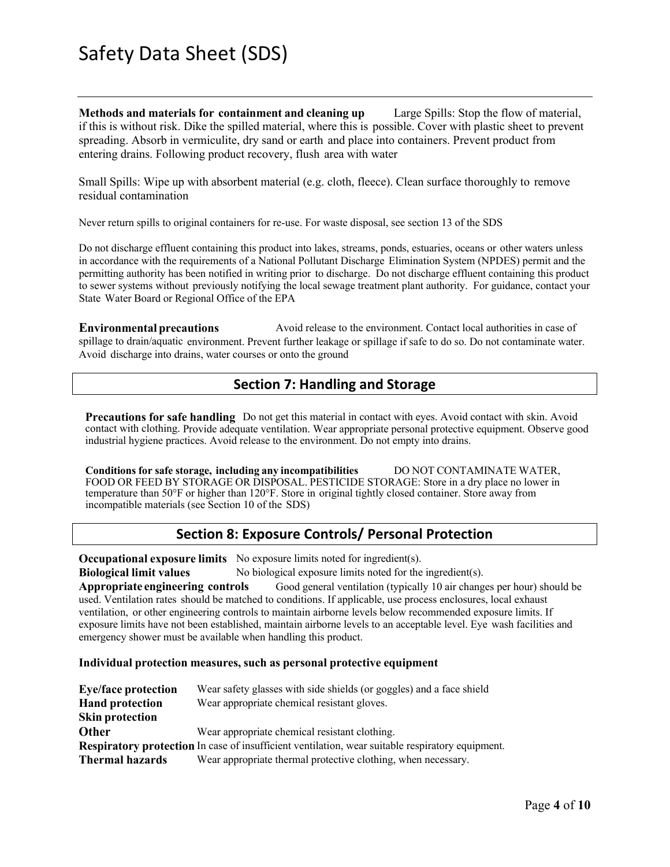**Methods and materials for containment and cleaning up** Large Spills: Stop the flow of material, if this is without risk. Dike the spilled material, where this is possible. Cover with plastic sheet to prevent spreading. Absorb in vermiculite, dry sand or earth and place into containers. Prevent product from entering drains. Following product recovery, flush area with water

Small Spills: Wipe up with absorbent material (e.g. cloth, fleece). Clean surface thoroughly to remove residual contamination

Never return spills to original containers for re-use. For waste disposal, see section 13 of the SDS

Do not discharge effluent containing this product into lakes, streams, ponds, estuaries, oceans or other waters unless in accordance with the requirements of a National Pollutant Discharge Elimination System (NPDES) permit and the permitting authority has been notified in writing prior to discharge. Do not discharge effluent containing this product to sewer systems without previously notifying the local sewage treatment plant authority. For guidance, contact your State Water Board or Regional Office of the EPA

**Environmental precautions** Avoid release to the environment. Contact local authorities in case of spillage to drain/aquatic environment. Prevent further leakage or spillage if safe to do so. Do not contaminate water. Avoid discharge into drains, water courses or onto the ground

# **Section 7: Handling and Storage**

**Precautions for safe handling** Do not get this material in contact with eyes. Avoid contact with skin. Avoid contact with clothing. Provide adequate ventilation. Wear appropriate personal protective equipment. Observe good industrial hygiene practices. Avoid release to the environment. Do not empty into drains.

**Conditions for safe storage, including any incompatibilities** DO NOT CONTAMINATE WATER, FOOD OR FEED BY STORAGE OR DISPOSAL. PESTICIDE STORAGE: Store in a dry place no lower in temperature than 50°F or higher than 120°F. Store in original tightly closed container. Store away from incompatible materials (see Section 10 of the SDS)

# **Section 8: Exposure Controls/ Personal Protection**

**Occupational exposure limits** No exposure limits noted for ingredient(s).

**Biological limit values** No biological exposure limits noted for the ingredient(s).

**Appropriate engineering controls** Good general ventilation (typically 10 air changes per hour) should be used. Ventilation rates should be matched to conditions. If applicable, use process enclosures, local exhaust ventilation, or other engineering controls to maintain airborne levels below recommended exposure limits. If exposure limits have not been established, maintain airborne levels to an acceptable level. Eye wash facilities and emergency shower must be available when handling this product.

### **Individual protection measures, such as personal protective equipment**

| <b>Eye/face protection</b> | Wear safety glasses with side shields (or goggles) and a face shield                                    |
|----------------------------|---------------------------------------------------------------------------------------------------------|
| <b>Hand protection</b>     | Wear appropriate chemical resistant gloves.                                                             |
| <b>Skin protection</b>     |                                                                                                         |
| <b>Other</b>               | Wear appropriate chemical resistant clothing.                                                           |
|                            | <b>Respiratory protection</b> In case of insufficient ventilation, wear suitable respiratory equipment. |
| <b>Thermal hazards</b>     | Wear appropriate thermal protective clothing, when necessary.                                           |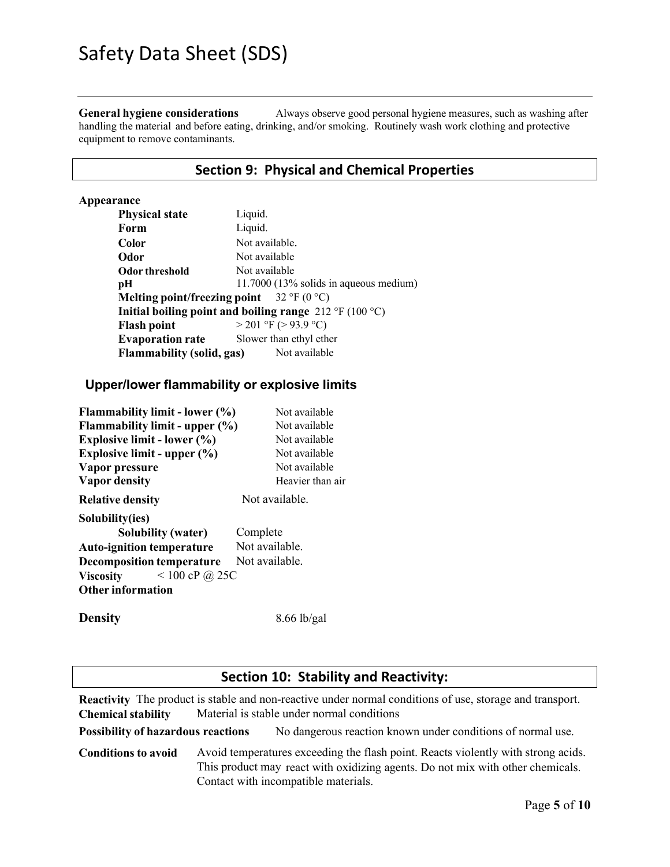**General hygiene considerations** Always observe good personal hygiene measures, such as washing after handling the material and before eating, drinking, and/or smoking. Routinely wash work clothing and protective equipment to remove contaminants.

## **Section 9: Physical and Chemical Properties**

### **Appearance**

| <b>Physical state</b>                                                    | Liquid.                                                                                |
|--------------------------------------------------------------------------|----------------------------------------------------------------------------------------|
| Form                                                                     | Liquid.                                                                                |
| Color                                                                    | Not available.                                                                         |
| Odor                                                                     | Not available                                                                          |
| Odor threshold                                                           | Not available                                                                          |
| рH                                                                       | $11.7000$ (13% solids in aqueous medium)                                               |
| Melting point/freezing point $32 \text{ }^{\circ}F(0 \text{ }^{\circ}C)$ |                                                                                        |
|                                                                          | Initial boiling point and boiling range $212 \text{ }^{\circ}F(100 \text{ }^{\circ}C)$ |
| <b>Flash point</b>                                                       | $>$ 201 °F ( $>$ 93.9 °C)                                                              |
| <b>Evaporation rate</b>                                                  | Slower than ethyl ether                                                                |
| <b>Flammability (solid, gas)</b>                                         | Not available                                                                          |

# **Upper/lower flammability or explosive limits**

| <b>Flammability limit - lower (%)</b> | Not available    |
|---------------------------------------|------------------|
| Flammability limit - upper (%)        | Not available    |
| Explosive limit - lower $(\% )$       | Not available    |
| Explosive limit - upper $(\%)$        | Not available    |
| Vapor pressure                        | Not available    |
| <b>Vapor density</b>                  | Heavier than air |
| <b>Relative density</b>               | Not available.   |
| Solubility(ies)                       |                  |
| Solubility (water)                    | Complete         |
| <b>Auto-ignition temperature</b>      | Not available.   |
| <b>Decomposition temperature</b>      | Not available.   |
| $< 100$ cP @ 25C<br><b>Viscosity</b>  |                  |
| <b>Other information</b>              |                  |
|                                       |                  |

**Density** 8.66 lb/gal

### **Section 10: Stability and Reactivity:**

**Reactivity** The product is stable and non-reactive under normal conditions of use, storage and transport. **Chemical stability** Material is stable under normal conditions

**Possibility of hazardous reactions** No dangerous reaction known under conditions of normal use.

**Conditions to avoid** Avoid temperatures exceeding the flash point. Reacts violently with strong acids. This product may react with oxidizing agents. Do not mix with other chemicals. Contact with incompatible materials.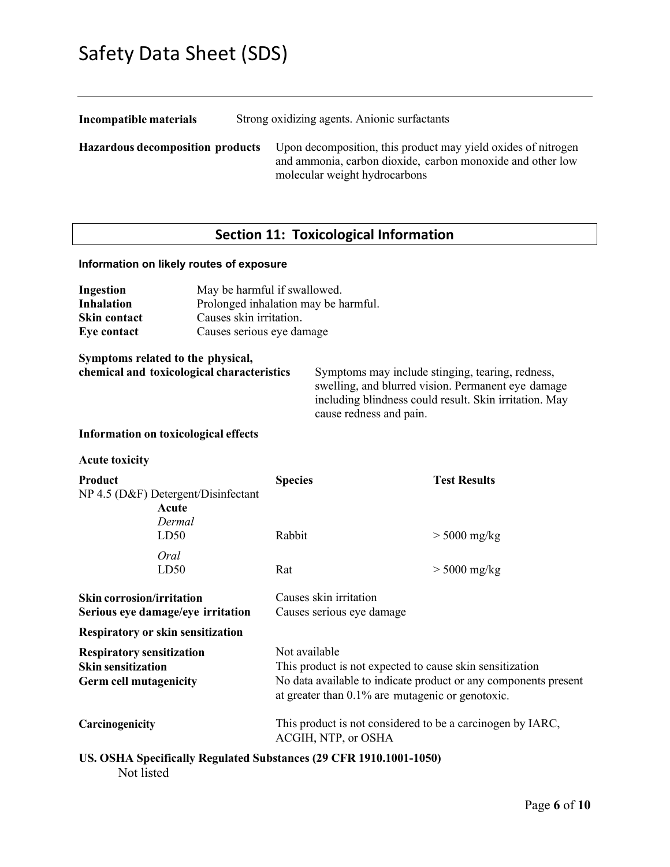| Incompatible materials                  | Strong oxidizing agents. Anionic surfactants                                                                                                                 |  |  |  |
|-----------------------------------------|--------------------------------------------------------------------------------------------------------------------------------------------------------------|--|--|--|
| <b>Hazardous decomposition products</b> | Upon decomposition, this product may yield oxides of nitrogen<br>and ammonia, carbon dioxide, carbon monoxide and other low<br>molecular weight hydrocarbons |  |  |  |

# **Section 11: Toxicological Information**

## **Information on likely routes of exposure**

| Ingestion<br><b>Inhalation</b>                                                                 | May be harmful if swallowed.<br>Prolonged inhalation may be harmful. |                                                                                                                                                                                                     |                                                                                                                                                                                             |                                                            |  |
|------------------------------------------------------------------------------------------------|----------------------------------------------------------------------|-----------------------------------------------------------------------------------------------------------------------------------------------------------------------------------------------------|---------------------------------------------------------------------------------------------------------------------------------------------------------------------------------------------|------------------------------------------------------------|--|
| <b>Skin contact</b><br><b>Eye contact</b>                                                      | Causes skin irritation.<br>Causes serious eye damage                 |                                                                                                                                                                                                     |                                                                                                                                                                                             |                                                            |  |
| Symptoms related to the physical,<br>chemical and toxicological characteristics                |                                                                      |                                                                                                                                                                                                     | Symptoms may include stinging, tearing, redness,<br>swelling, and blurred vision. Permanent eye damage<br>including blindness could result. Skin irritation. May<br>cause redness and pain. |                                                            |  |
| Information on toxicological effects                                                           |                                                                      |                                                                                                                                                                                                     |                                                                                                                                                                                             |                                                            |  |
| <b>Acute toxicity</b>                                                                          |                                                                      |                                                                                                                                                                                                     |                                                                                                                                                                                             |                                                            |  |
| Product<br>NP 4.5 (D&F) Detergent/Disinfectant<br>Acute<br>Dermal                              |                                                                      | <b>Species</b>                                                                                                                                                                                      |                                                                                                                                                                                             | <b>Test Results</b>                                        |  |
| LD50                                                                                           |                                                                      | Rabbit                                                                                                                                                                                              |                                                                                                                                                                                             | $>$ 5000 mg/kg                                             |  |
| Oral<br>LD50                                                                                   |                                                                      | Rat                                                                                                                                                                                                 |                                                                                                                                                                                             | $>$ 5000 mg/kg                                             |  |
| <b>Skin corrosion/irritation</b><br>Serious eye damage/eye irritation                          |                                                                      |                                                                                                                                                                                                     | Causes skin irritation<br>Causes serious eye damage                                                                                                                                         |                                                            |  |
| <b>Respiratory or skin sensitization</b>                                                       |                                                                      |                                                                                                                                                                                                     |                                                                                                                                                                                             |                                                            |  |
| <b>Respiratory sensitization</b><br><b>Skin sensitization</b><br><b>Germ cell mutagenicity</b> |                                                                      | Not available<br>This product is not expected to cause skin sensitization<br>No data available to indicate product or any components present<br>at greater than $0.1\%$ are mutagenic or genotoxic. |                                                                                                                                                                                             |                                                            |  |
| Carcinogenicity                                                                                |                                                                      |                                                                                                                                                                                                     | ACGIH, NTP, or OSHA                                                                                                                                                                         | This product is not considered to be a carcinogen by IARC, |  |
|                                                                                                |                                                                      |                                                                                                                                                                                                     | US. OSHA Specifically Regulated Substances (29 CFR 1910.1001-1050)                                                                                                                          |                                                            |  |

Not listed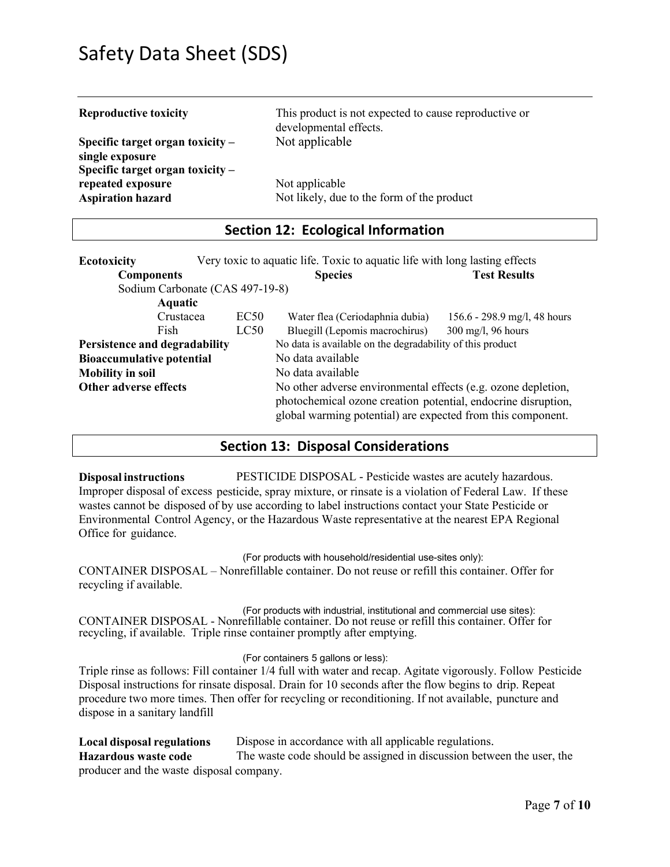| <b>Reproductive toxicity</b>                                                                | This product is not expected to cause reproductive or<br>developmental effects. |
|---------------------------------------------------------------------------------------------|---------------------------------------------------------------------------------|
| Specific target organ toxicity $-$<br>single exposure<br>Specific target organ toxicity $-$ | Not applicable                                                                  |
| repeated exposure<br><b>Aspiration hazard</b>                                               | Not applicable<br>Not likely, due to the form of the product                    |

## **Section 12: Ecological Information**

| <b>Ecotoxicity</b>               | Very toxic to aquatic life. Toxic to aquatic life with long lasting effects |                                                                                                                              |                              |  |  |
|----------------------------------|-----------------------------------------------------------------------------|------------------------------------------------------------------------------------------------------------------------------|------------------------------|--|--|
| <b>Components</b>                |                                                                             | <b>Species</b>                                                                                                               | <b>Test Results</b>          |  |  |
| Sodium Carbonate (CAS 497-19-8)  |                                                                             |                                                                                                                              |                              |  |  |
| Aquatic                          |                                                                             |                                                                                                                              |                              |  |  |
| Crustacea                        | EC50                                                                        | Water flea (Ceriodaphnia dubia)                                                                                              | 156.6 - 298.9 mg/l, 48 hours |  |  |
| Fish                             | LC50                                                                        | Bluegill (Lepomis macrochirus)                                                                                               | 300 mg/l, 96 hours           |  |  |
| Persistence and degradability    | No data is available on the degradability of this product                   |                                                                                                                              |                              |  |  |
| <b>Bioaccumulative potential</b> |                                                                             | No data available                                                                                                            |                              |  |  |
| <b>Mobility in soil</b>          |                                                                             | No data available                                                                                                            |                              |  |  |
| Other adverse effects            |                                                                             | No other adverse environmental effects (e.g. ozone depletion,                                                                |                              |  |  |
|                                  |                                                                             | photochemical ozone creation potential, endocrine disruption,<br>global warming potential) are expected from this component. |                              |  |  |

### **Section 13: Disposal Considerations**

**Disposal instructions** PESTICIDE DISPOSAL - Pesticide wastes are acutely hazardous. Improper disposal of excess pesticide, spray mixture, or rinsate is a violation of Federal Law. If these wastes cannot be disposed of by use according to label instructions contact your State Pesticide or Environmental Control Agency, or the Hazardous Waste representative at the nearest EPA Regional Office for guidance.

(For products with household/residential use-sites only):

CONTAINER DISPOSAL – Nonrefillable container. Do not reuse or refill this container. Offer for recycling if available.

(For products with industrial, institutional and commercial use sites): CONTAINER DISPOSAL - Nonrefillable container. Do not reuse or refill this container. Offer for recycling, if available. Triple rinse container promptly after emptying.

#### (For containers 5 gallons or less):

Triple rinse as follows: Fill container 1/4 full with water and recap. Agitate vigorously. Follow Pesticide Disposal instructions for rinsate disposal. Drain for 10 seconds after the flow begins to drip. Repeat procedure two more times. Then offer for recycling or reconditioning. If not available, puncture and dispose in a sanitary landfill

**Local disposal regulations** Dispose in accordance with all applicable regulations. **Hazardous waste code** The waste code should be assigned in discussion between the user, the producer and the waste disposal company.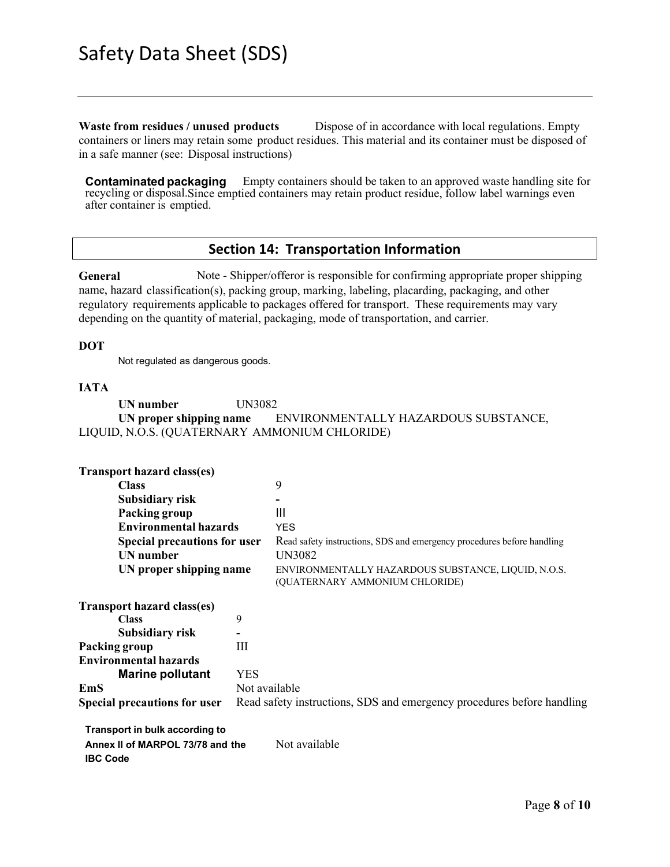**Waste from residues / unused products** Dispose of in accordance with local regulations. Empty containers or liners may retain some product residues. This material and its container must be disposed of in a safe manner (see: Disposal instructions)

**Contaminated packaging** Empty containers should be taken to an approved waste handling site for recycling or disposal.Since emptied containers may retain product residue, follow label warnings even after container is emptied.

### **Section 14: Transportation Information**

**General** Note - Shipper/offeror is responsible for confirming appropriate proper shipping name, hazard classification(s), packing group, marking, labeling, placarding, packaging, and other regulatory requirements applicable to packages offered for transport. These requirements may vary depending on the quantity of material, packaging, mode of transportation, and carrier.

### **DOT**

Not regulated as dangerous goods.

### **IATA**

**UN number** UN3082 **UN proper shipping name** ENVIRONMENTALLY HAZARDOUS SUBSTANCE, LIQUID, N.O.S. (QUATERNARY AMMONIUM CHLORIDE)

| <b>Transport hazard class(es)</b>                                   |                                                                        |                                                                                       |  |
|---------------------------------------------------------------------|------------------------------------------------------------------------|---------------------------------------------------------------------------------------|--|
| <b>Class</b>                                                        |                                                                        | 9                                                                                     |  |
| Subsidiary risk                                                     |                                                                        |                                                                                       |  |
| Packing group                                                       |                                                                        | Ш                                                                                     |  |
| <b>Environmental hazards</b><br><b>Special precautions for user</b> |                                                                        | <b>YES</b>                                                                            |  |
|                                                                     |                                                                        | Read safety instructions, SDS and emergency procedures before handling                |  |
| <b>UN</b> number                                                    |                                                                        | UN3082                                                                                |  |
| UN proper shipping name                                             |                                                                        | ENVIRONMENTALLY HAZARDOUS SUBSTANCE, LIQUID, N.O.S.<br>(QUATERNARY AMMONIUM CHLORIDE) |  |
| <b>Transport hazard class(es)</b>                                   |                                                                        |                                                                                       |  |
| <b>Class</b>                                                        | 9                                                                      |                                                                                       |  |
| Subsidiary risk                                                     |                                                                        |                                                                                       |  |
| Packing group                                                       | III                                                                    |                                                                                       |  |
| <b>Environmental hazards</b>                                        |                                                                        |                                                                                       |  |
| <b>Marine pollutant</b>                                             | <b>YES</b>                                                             |                                                                                       |  |
| <b>EmS</b>                                                          | Not available                                                          |                                                                                       |  |
| <b>Special precautions for user</b>                                 | Read safety instructions, SDS and emergency procedures before handling |                                                                                       |  |
| Transport in bulk according to                                      |                                                                        |                                                                                       |  |

| Annex II of MARPOL 73/78 and the | Not available |
|----------------------------------|---------------|
| <b>IBC Code</b>                  |               |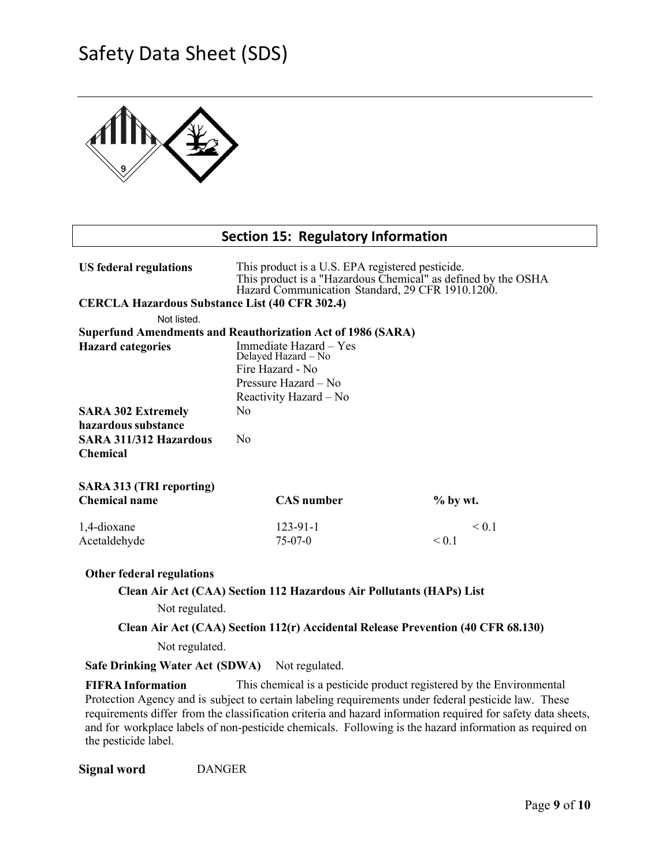

## **Section 15: Regulatory Information**

| <b>US</b> federal regulations                                        | This product is a U.S. EPA registered pesticide.<br>This product is a "Hazardous Chemical" as defined by the OSHA<br>Hazard Communication Standard, 29 CFR 1910.1200. |            |       |  |  |  |  |
|----------------------------------------------------------------------|-----------------------------------------------------------------------------------------------------------------------------------------------------------------------|------------|-------|--|--|--|--|
| <b>CERCLA Hazardous Substance List (40 CFR 302.4)</b>                |                                                                                                                                                                       |            |       |  |  |  |  |
| Not listed.                                                          |                                                                                                                                                                       |            |       |  |  |  |  |
| <b>Superfund Amendments and Reauthorization Act of 1986 (SARA)</b>   |                                                                                                                                                                       |            |       |  |  |  |  |
| <b>Hazard categories</b>                                             | Immediate Hazard - Yes                                                                                                                                                |            |       |  |  |  |  |
|                                                                      | Delayed Hazard - No                                                                                                                                                   |            |       |  |  |  |  |
|                                                                      | Fire Hazard - No<br>Pressure Hazard - No                                                                                                                              |            |       |  |  |  |  |
|                                                                      | Reactivity Hazard - No                                                                                                                                                |            |       |  |  |  |  |
| <b>SARA 302 Extremely</b>                                            | No                                                                                                                                                                    |            |       |  |  |  |  |
| hazardous substance                                                  |                                                                                                                                                                       |            |       |  |  |  |  |
| SARA 311/312 Hazardous                                               | N <sub>o</sub>                                                                                                                                                        |            |       |  |  |  |  |
| <b>Chemical</b>                                                      |                                                                                                                                                                       |            |       |  |  |  |  |
|                                                                      |                                                                                                                                                                       |            |       |  |  |  |  |
| <b>SARA 313 (TRI reporting)</b>                                      |                                                                                                                                                                       |            |       |  |  |  |  |
| <b>Chemical name</b>                                                 | <b>CAS</b> number                                                                                                                                                     | $%$ by wt. |       |  |  |  |  |
| 1,4-dioxane                                                          | $123 - 91 - 1$                                                                                                                                                        |            | < 0.1 |  |  |  |  |
| Acetaldehyde                                                         | $75-07-0$                                                                                                                                                             | ${}_{0.1}$ |       |  |  |  |  |
|                                                                      |                                                                                                                                                                       |            |       |  |  |  |  |
| <b>Other federal regulations</b>                                     |                                                                                                                                                                       |            |       |  |  |  |  |
| Clean Air Act (CAA) Section 112 Hazardous Air Pollutants (HAPs) List |                                                                                                                                                                       |            |       |  |  |  |  |
| Not regulated.                                                       |                                                                                                                                                                       |            |       |  |  |  |  |
|                                                                      | Clean Air Act (CAA) Section 112(r) Accidental Release Prevention (40 CFR 68.130)                                                                                      |            |       |  |  |  |  |
| Not regulated.                                                       |                                                                                                                                                                       |            |       |  |  |  |  |
|                                                                      |                                                                                                                                                                       |            |       |  |  |  |  |
| Safe Drinking Water Act (SDWA) Not regulated.                        |                                                                                                                                                                       |            |       |  |  |  |  |
| <b>FIFRA</b> Information                                             | This chemical is a pesticide product registered by the Environmental                                                                                                  |            |       |  |  |  |  |

Protection Agency and is subject to certain labeling requirements under federal pesticide law. These requirements differ from the classification criteria and hazard information required for safety data sheets, and for workplace labels of non-pesticide chemicals. Following is the hazard information as required on the pesticide label.

**Signal word** DANGER